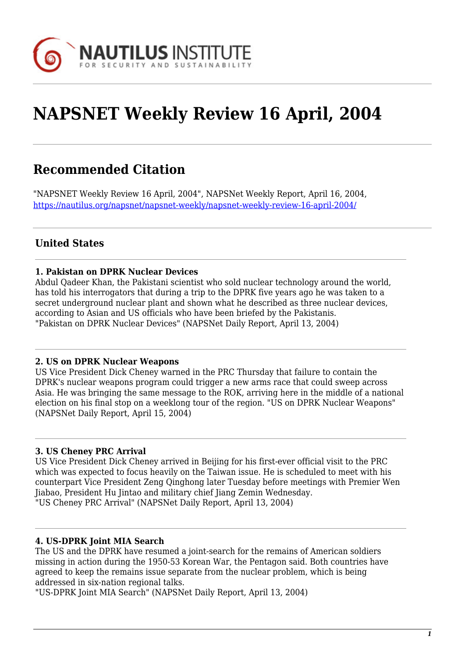

# **NAPSNET Weekly Review 16 April, 2004**

# **Recommended Citation**

"NAPSNET Weekly Review 16 April, 2004", NAPSNet Weekly Report, April 16, 2004, <https://nautilus.org/napsnet/napsnet-weekly/napsnet-weekly-review-16-april-2004/>

# **United States**

#### **1. Pakistan on DPRK Nuclear Devices**

Abdul Qadeer Khan, the Pakistani scientist who sold nuclear technology around the world, has told his interrogators that during a trip to the DPRK five years ago he was taken to a secret underground nuclear plant and shown what he described as three nuclear devices, according to Asian and US officials who have been briefed by the Pakistanis. "Pakistan on DPRK Nuclear Devices" (NAPSNet Daily Report, April 13, 2004)

#### **2. US on DPRK Nuclear Weapons**

US Vice President Dick Cheney warned in the PRC Thursday that failure to contain the DPRK's nuclear weapons program could trigger a new arms race that could sweep across Asia. He was bringing the same message to the ROK, arriving here in the middle of a national election on his final stop on a weeklong tour of the region. "US on DPRK Nuclear Weapons" (NAPSNet Daily Report, April 15, 2004)

#### **3. US Cheney PRC Arrival**

US Vice President Dick Cheney arrived in Beijing for his first-ever official visit to the PRC which was expected to focus heavily on the Taiwan issue. He is scheduled to meet with his counterpart Vice President Zeng Qinghong later Tuesday before meetings with Premier Wen Jiabao, President Hu Jintao and military chief Jiang Zemin Wednesday. "US Cheney PRC Arrival" (NAPSNet Daily Report, April 13, 2004)

#### **4. US-DPRK Joint MIA Search**

The US and the DPRK have resumed a joint-search for the remains of American soldiers missing in action during the 1950-53 Korean War, the Pentagon said. Both countries have agreed to keep the remains issue separate from the nuclear problem, which is being addressed in six-nation regional talks.

"US-DPRK Joint MIA Search" (NAPSNet Daily Report, April 13, 2004)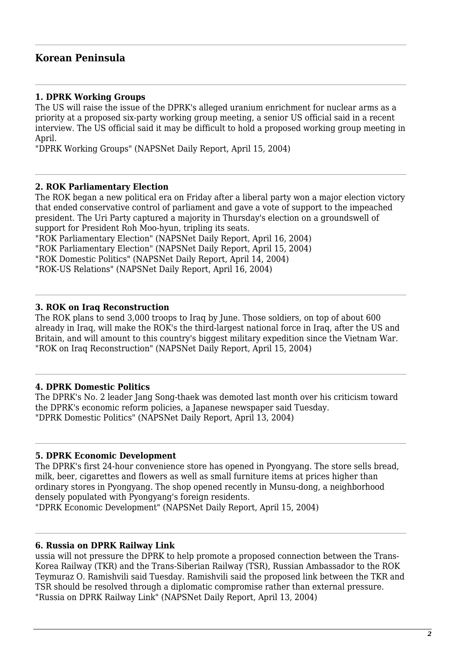## **Korean Peninsula**

#### **1. DPRK Working Groups**

The US will raise the issue of the DPRK's alleged uranium enrichment for nuclear arms as a priority at a proposed six-party working group meeting, a senior US official said in a recent interview. The US official said it may be difficult to hold a proposed working group meeting in April.

"DPRK Working Groups" (NAPSNet Daily Report, April 15, 2004)

#### **2. ROK Parliamentary Election**

The ROK began a new political era on Friday after a liberal party won a major election victory that ended conservative control of parliament and gave a vote of support to the impeached president. The Uri Party captured a majority in Thursday's election on a groundswell of support for President Roh Moo-hyun, tripling its seats.

"ROK Parliamentary Election" (NAPSNet Daily Report, April 16, 2004) "ROK Parliamentary Election" (NAPSNet Daily Report, April 15, 2004) "ROK Domestic Politics" (NAPSNet Daily Report, April 14, 2004) "ROK-US Relations" (NAPSNet Daily Report, April 16, 2004)

#### **3. ROK on Iraq Reconstruction**

The ROK plans to send 3,000 troops to Iraq by June. Those soldiers, on top of about 600 already in Iraq, will make the ROK's the third-largest national force in Iraq, after the US and Britain, and will amount to this country's biggest military expedition since the Vietnam War. "ROK on Iraq Reconstruction" (NAPSNet Daily Report, April 15, 2004)

#### **4. DPRK Domestic Politics**

The DPRK's No. 2 leader Jang Song-thaek was demoted last month over his criticism toward the DPRK's economic reform policies, a Japanese newspaper said Tuesday. "DPRK Domestic Politics" (NAPSNet Daily Report, April 13, 2004)

#### **5. DPRK Economic Development**

The DPRK's first 24-hour convenience store has opened in Pyongyang. The store sells bread, milk, beer, cigarettes and flowers as well as small furniture items at prices higher than ordinary stores in Pyongyang. The shop opened recently in Munsu-dong, a neighborhood densely populated with Pyongyang's foreign residents.

"DPRK Economic Development" (NAPSNet Daily Report, April 15, 2004)

#### **6. Russia on DPRK Railway Link**

ussia will not pressure the DPRK to help promote a proposed connection between the Trans-Korea Railway (TKR) and the Trans-Siberian Railway (TSR), Russian Ambassador to the ROK Teymuraz O. Ramishvili said Tuesday. Ramishvili said the proposed link between the TKR and TSR should be resolved through a diplomatic compromise rather than external pressure. "Russia on DPRK Railway Link" (NAPSNet Daily Report, April 13, 2004)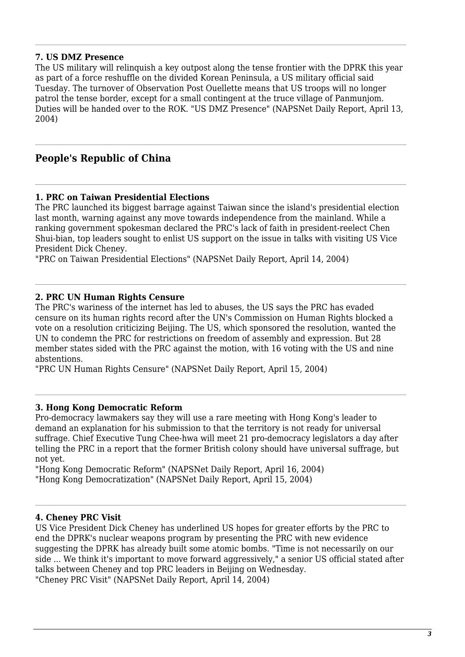#### **7. US DMZ Presence**

The US military will relinquish a key outpost along the tense frontier with the DPRK this year as part of a force reshuffle on the divided Korean Peninsula, a US military official said Tuesday. The turnover of Observation Post Ouellette means that US troops will no longer patrol the tense border, except for a small contingent at the truce village of Panmunjom. Duties will be handed over to the ROK. "US DMZ Presence" (NAPSNet Daily Report, April 13, 2004)

### **People's Republic of China**

#### **1. PRC on Taiwan Presidential Elections**

The PRC launched its biggest barrage against Taiwan since the island's presidential election last month, warning against any move towards independence from the mainland. While a ranking government spokesman declared the PRC's lack of faith in president-reelect Chen Shui-bian, top leaders sought to enlist US support on the issue in talks with visiting US Vice President Dick Cheney.

"PRC on Taiwan Presidential Elections" (NAPSNet Daily Report, April 14, 2004)

#### **2. PRC UN Human Rights Censure**

The PRC's wariness of the internet has led to abuses, the US says the PRC has evaded censure on its human rights record after the UN's Commission on Human Rights blocked a vote on a resolution criticizing Beijing. The US, which sponsored the resolution, wanted the UN to condemn the PRC for restrictions on freedom of assembly and expression. But 28 member states sided with the PRC against the motion, with 16 voting with the US and nine abstentions.

"PRC UN Human Rights Censure" (NAPSNet Daily Report, April 15, 2004)

#### **3. Hong Kong Democratic Reform**

Pro-democracy lawmakers say they will use a rare meeting with Hong Kong's leader to demand an explanation for his submission to that the territory is not ready for universal suffrage. Chief Executive Tung Chee-hwa will meet 21 pro-democracy legislators a day after telling the PRC in a report that the former British colony should have universal suffrage, but not yet.

"Hong Kong Democratic Reform" (NAPSNet Daily Report, April 16, 2004) "Hong Kong Democratization" (NAPSNet Daily Report, April 15, 2004)

#### **4. Cheney PRC Visit**

US Vice President Dick Cheney has underlined US hopes for greater efforts by the PRC to end the DPRK's nuclear weapons program by presenting the PRC with new evidence suggesting the DPRK has already built some atomic bombs. "Time is not necessarily on our side ... We think it's important to move forward aggressively," a senior US official stated after talks between Cheney and top PRC leaders in Beijing on Wednesday. "Cheney PRC Visit" (NAPSNet Daily Report, April 14, 2004)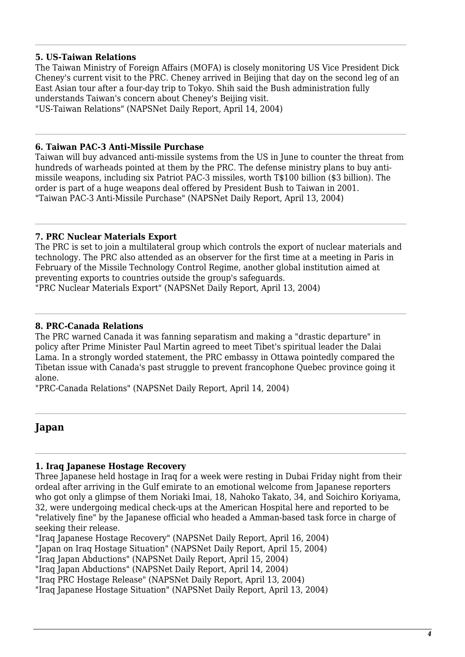#### **5. US-Taiwan Relations**

The Taiwan Ministry of Foreign Affairs (MOFA) is closely monitoring US Vice President Dick Cheney's current visit to the PRC. Cheney arrived in Beijing that day on the second leg of an East Asian tour after a four-day trip to Tokyo. Shih said the Bush administration fully understands Taiwan's concern about Cheney's Beijing visit. "US-Taiwan Relations" (NAPSNet Daily Report, April 14, 2004)

# **6. Taiwan PAC-3 Anti-Missile Purchase**

Taiwan will buy advanced anti-missile systems from the US in June to counter the threat from hundreds of warheads pointed at them by the PRC. The defense ministry plans to buy antimissile weapons, including six Patriot PAC-3 missiles, worth T\$100 billion (\$3 billion). The order is part of a huge weapons deal offered by President Bush to Taiwan in 2001. "Taiwan PAC-3 Anti-Missile Purchase" (NAPSNet Daily Report, April 13, 2004)

#### **7. PRC Nuclear Materials Export**

The PRC is set to join a multilateral group which controls the export of nuclear materials and technology. The PRC also attended as an observer for the first time at a meeting in Paris in February of the Missile Technology Control Regime, another global institution aimed at preventing exports to countries outside the group's safeguards.

"PRC Nuclear Materials Export" (NAPSNet Daily Report, April 13, 2004)

#### **8. PRC-Canada Relations**

The PRC warned Canada it was fanning separatism and making a "drastic departure" in policy after Prime Minister Paul Martin agreed to meet Tibet's spiritual leader the Dalai Lama. In a strongly worded statement, the PRC embassy in Ottawa pointedly compared the Tibetan issue with Canada's past struggle to prevent francophone Quebec province going it alone.

"PRC-Canada Relations" (NAPSNet Daily Report, April 14, 2004)

# **Japan**

### **1. Iraq Japanese Hostage Recovery**

Three Japanese held hostage in Iraq for a week were resting in Dubai Friday night from their ordeal after arriving in the Gulf emirate to an emotional welcome from Japanese reporters who got only a glimpse of them Noriaki Imai, 18, Nahoko Takato, 34, and Soichiro Koriyama, 32, were undergoing medical check-ups at the American Hospital here and reported to be "relatively fine" by the Japanese official who headed a Amman-based task force in charge of seeking their release.

"Iraq Japanese Hostage Recovery" (NAPSNet Daily Report, April 16, 2004) "Japan on Iraq Hostage Situation" (NAPSNet Daily Report, April 15, 2004) "Iraq Japan Abductions" (NAPSNet Daily Report, April 15, 2004)

"Iraq Japan Abductions" (NAPSNet Daily Report, April 14, 2004)

"Iraq PRC Hostage Release" (NAPSNet Daily Report, April 13, 2004)

"Iraq Japanese Hostage Situation" (NAPSNet Daily Report, April 13, 2004)